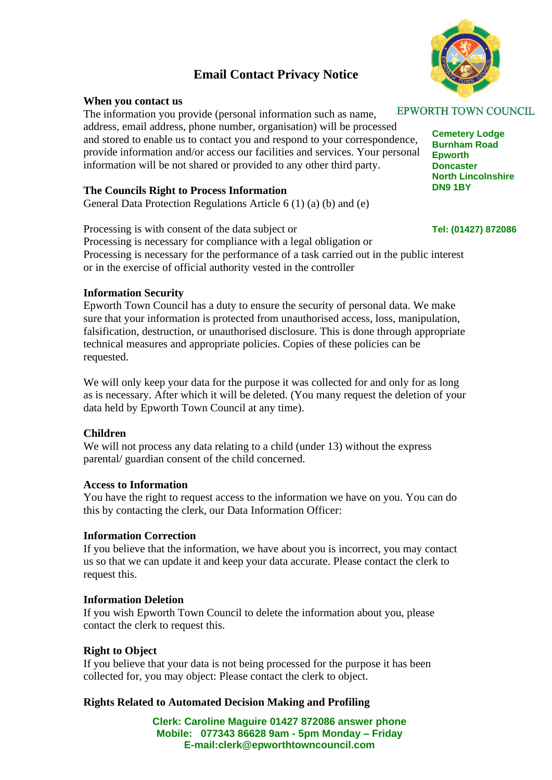# **Email Contact Privacy Notice**

# **When you contact us**

The information you provide (personal information such as name, address, email address, phone number, organisation) will be processed and stored to enable us to contact you and respond to your correspondence, provide information and/or access our facilities and services. Your personal information will be not shared or provided to any other third party.

# **The Councils Right to Process Information**

General Data Protection Regulations Article 6 (1) (a) (b) and (e)

**Tel: (01427) 872086** Processing is with consent of the data subject or Processing is necessary for compliance with a legal obligation or Processing is necessary for the performance of a task carried out in the public interest or in the exercise of official authority vested in the controller

## **Information Security**

Epworth Town Council has a duty to ensure the security of personal data. We make sure that your information is protected from unauthorised access, loss, manipulation, falsification, destruction, or unauthorised disclosure. This is done through appropriate technical measures and appropriate policies. Copies of these policies can be requested.

We will only keep your data for the purpose it was collected for and only for as long as is necessary. After which it will be deleted. (You many request the deletion of your data held by Epworth Town Council at any time).

#### **Children**

We will not process any data relating to a child (under 13) without the express parental/ guardian consent of the child concerned.

# **Access to Information**

You have the right to request access to the information we have on you. You can do this by contacting the clerk, our Data Information Officer:

#### **Information Correction**

If you believe that the information, we have about you is incorrect, you may contact us so that we can update it and keep your data accurate. Please contact the clerk to request this.

#### **Information Deletion**

If you wish Epworth Town Council to delete the information about you, please contact the clerk to request this.

## **Right to Object**

If you believe that your data is not being processed for the purpose it has been collected for, you may object: Please contact the clerk to object.

#### **Rights Related to Automated Decision Making and Profiling**

**Clerk: Caroline Maguire 01427 872086 answer phone Mobile: 077343 86628 9am - 5pm Monday – Friday E-mail:clerk@epworthtowncouncil.com**



**Cemetery Lodge Burnham Road Epworth Doncaster North Lincolnshire DN9 1BY**